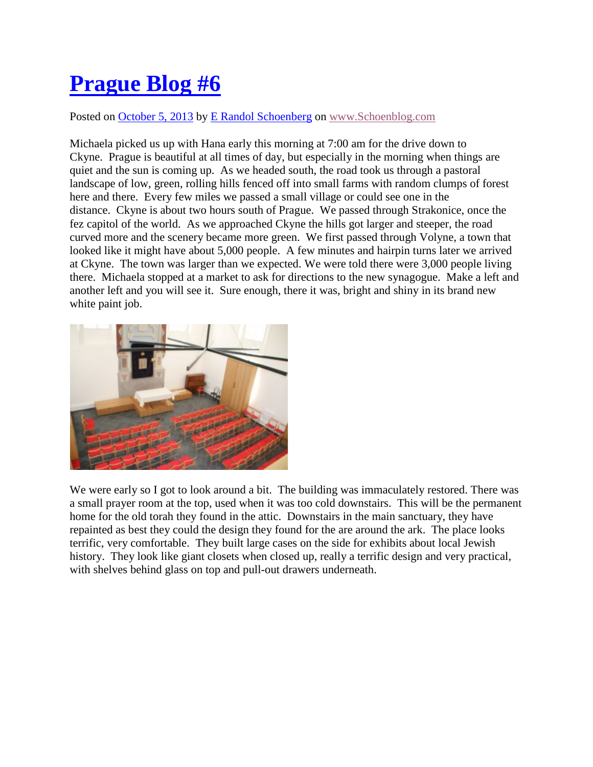## **[Prague Blog #6](http://schoenblog.com/?p=385)**

Posted on [October 5, 2013](http://schoenblog.com/?p=385) by E Randol [Schoenberg](http://schoenblog.com/?author=1) on [www.Schoenblog.com](http://www.schoenblog.com/)

Michaela picked us up with Hana early this morning at 7:00 am for the drive down to Ckyne. Prague is beautiful at all times of day, but especially in the morning when things are quiet and the sun is coming up. As we headed south, the road took us through a pastoral landscape of low, green, rolling hills fenced off into small farms with random clumps of forest here and there. Every few miles we passed a small village or could see one in the distance. Ckyne is about two hours south of Prague. We passed through Strakonice, once the fez capitol of the world. As we approached Ckyne the hills got larger and steeper, the road curved more and the scenery became more green. We first passed through Volyne, a town that looked like it might have about 5,000 people. A few minutes and hairpin turns later we arrived at Ckyne. The town was larger than we expected. We were told there were 3,000 people living there. Michaela stopped at a market to ask for directions to the new synagogue. Make a left and another left and you will see it. Sure enough, there it was, bright and shiny in its brand new white paint job.



We were early so I got to look around a bit. The building was immaculately restored. There was a small prayer room at the top, used when it was too cold downstairs. This will be the permanent home for the old torah they found in the attic. Downstairs in the main sanctuary, they have repainted as best they could the design they found for the are around the ark. The place looks terrific, very comfortable. They built large cases on the side for exhibits about local Jewish history. They look like giant closets when closed up, really a terrific design and very practical, with shelves behind glass on top and pull-out drawers underneath.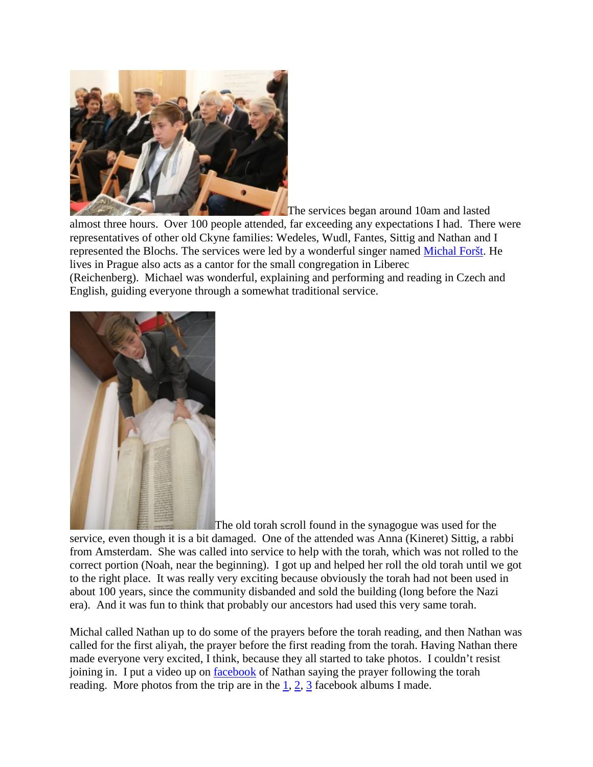

The services began around 10am and lasted

almost three hours. Over 100 people attended, far exceeding any expectations I had. There were representatives of other old Ckyne families: Wedeles, Wudl, Fantes, Sittig and Nathan and I represented the Blochs. The services were led by a wonderful singer named [Michal Foršt.](http://www.michalforst.cz/) He lives in Prague also acts as a cantor for the small congregation in Liberec

(Reichenberg). Michael was wonderful, explaining and performing and reading in Czech and English, guiding everyone through a somewhat traditional service.



The old torah scroll found in the synagogue was used for the service, even though it is a bit damaged. One of the attended was Anna (Kineret) Sittig, a rabbi from Amsterdam. She was called into service to help with the torah, which was not rolled to the correct portion (Noah, near the beginning). I got up and helped her roll the old torah until we got to the right place. It was really very exciting because obviously the torah had not been used in about 100 years, since the community disbanded and sold the building (long before the Nazi era). And it was fun to think that probably our ancestors had used this very same torah.

Michal called Nathan up to do some of the prayers before the torah reading, and then Nathan was called for the first aliyah, the prayer before the first reading from the torah. Having Nathan there made everyone very excited, I think, because they all started to take photos. I couldn't resist joining in. I put a video up on **facebook** of Nathan saying the prayer following the torah reading. More photos from the trip are in the  $1, 2, 3$  $1, 2, 3$  $1, 2, 3$  facebook albums I made.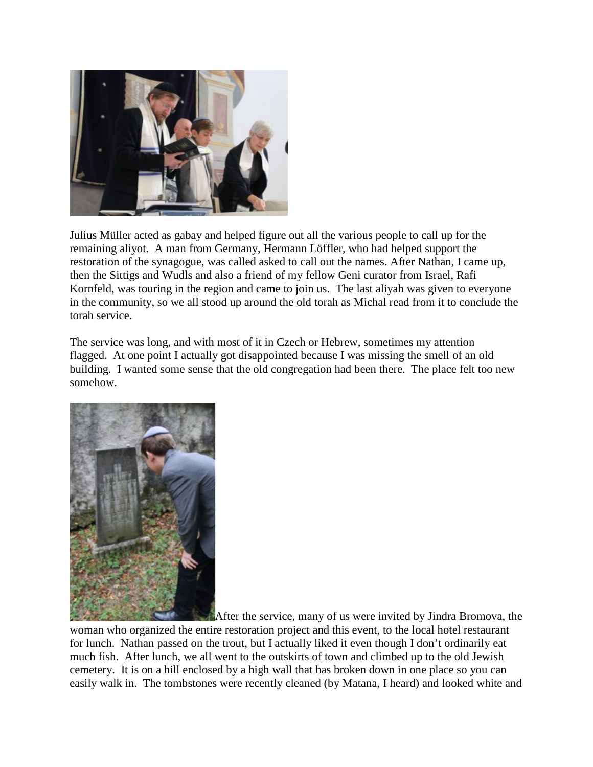

Julius Müller acted as gabay and helped figure out all the various people to call up for the remaining aliyot. A man from Germany, Hermann Löffler, who had helped support the restoration of the synagogue, was called asked to call out the names. After Nathan, I came up, then the Sittigs and Wudls and also a friend of my fellow Geni curator from Israel, Rafi Kornfeld, was touring in the region and came to join us. The last aliyah was given to everyone in the community, so we all stood up around the old torah as Michal read from it to conclude the torah service.

The service was long, and with most of it in Czech or Hebrew, sometimes my attention flagged. At one point I actually got disappointed because I was missing the smell of an old building. I wanted some sense that the old congregation had been there. The place felt too new somehow.



After the service, many of us were invited by Jindra Bromova, the

woman who organized the entire restoration project and this event, to the local hotel restaurant for lunch. Nathan passed on the trout, but I actually liked it even though I don't ordinarily eat much fish. After lunch, we all went to the outskirts of town and climbed up to the old Jewish cemetery. It is on a hill enclosed by a high wall that has broken down in one place so you can easily walk in. The tombstones were recently cleaned (by Matana, I heard) and looked white and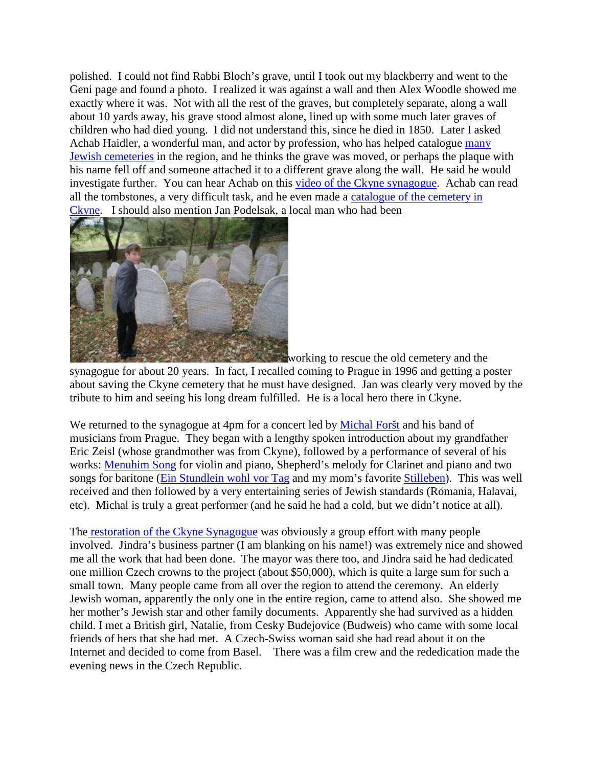polished. I could not find Rabbi Bloch's grave, until I took out my blackberry and went to the Geni page and found a photo. I realized it was against a wall and then Alex Woodle showed me exactly where it was. Not with all the rest of the graves, but completely separate, along a wall about 10 yards away, his grave stood almost alone, lined up with some much later graves of children who had died young. I did not understand this, since he died in 1850. Later I asked Achab Haidler, a wonderful man, and actor by profession, who has helped catalogue [many](http://www.chewra.com/)  [Jewish cemeteries](http://www.chewra.com/) in the region, and he thinks the grave was moved, or perhaps the plaque with his name fell off and someone attached it to a different grave along the wall. He said he would investigate further. You can hear Achab on this [video of the Ckyne synagogue.](http://www.youtube.com/watch?v=vWvv8xr1IkA) Achab can read all the tombstones, a very difficult task, and he even made a [catalogue of the cemetery in](http://www.jewishgen.org/austriaczech/towns/ckyncem1.htm)  [Ckyne.](http://www.jewishgen.org/austriaczech/towns/ckyncem1.htm) I should also mention Jan Podelsak, a local man who had been



working to rescue the old cemetery and the

synagogue for about 20 years. In fact, I recalled coming to Prague in 1996 and getting a poster about saving the Ckyne cemetery that he must have designed. Jan was clearly very moved by the tribute to him and seeing his long dream fulfilled. He is a local hero there in Ckyne.

We returned to the synagogue at 4pm for a concert led by [Michal Foršt](http://www.michalforst.cz/) and his band of musicians from Prague. They began with a lengthy spoken introduction about my grandfather Eric Zeisl (whose grandmother was from Ckyne), followed by a performance of several of his works: [Menuhim Song](http://www.zeisl.com/data/audio_player.php?play=IkNoYW1iZXIvTWVudWhpbSUyN3MgU29uZy5tcDMiIA==) for violin and piano, Shepherd's melody for Clarinet and piano and two songs for baritone [\(Ein Stundlein wohl vor Tag](http://www.zeisl.com/data/audio_player.php?play=IkxpZWRlci9FciVGNmQtTWFya00lRkNobGVyL0VpbiBTdCVGQ25kbGVpbiB3b2hsIHZvciBUYWcgKE0lRjZyaWtlKS5tcDMiIA==) and my mom's favorite [Stilleben\)](http://www.zeisl.com/data/audio_player.php?play=IkxpZWRlci9Ib2x6bWFpci1HYXJiZW4vMjIgU3RpbGxlYmVuIChHb3R0aG9sZCBMZXNzaW5nKS5tcDMiIA==). This was well received and then followed by a very entertaining series of Jewish standards (Romania, Halavai, etc). Michal is truly a great performer (and he said he had a cold, but we didn't notice at all).

The [restoration of the Ckyne Synagogue](http://www.synagoga-ckyne.cz/index.php?lang=eng) was obviously a group effort with many people involved. Jindra's business partner (I am blanking on his name!) was extremely nice and showed me all the work that had been done. The mayor was there too, and Jindra said he had dedicated one million Czech crowns to the project (about \$50,000), which is quite a large sum for such a small town. Many people came from all over the region to attend the ceremony. An elderly Jewish woman, apparently the only one in the entire region, came to attend also. She showed me her mother's Jewish star and other family documents. Apparently she had survived as a hidden child. I met a British girl, Natalie, from Cesky Budejovice (Budweis) who came with some local friends of hers that she had met. A Czech-Swiss woman said she had read about it on the Internet and decided to come from Basel. There was a film crew and the rededication made the evening news in the Czech Republic.